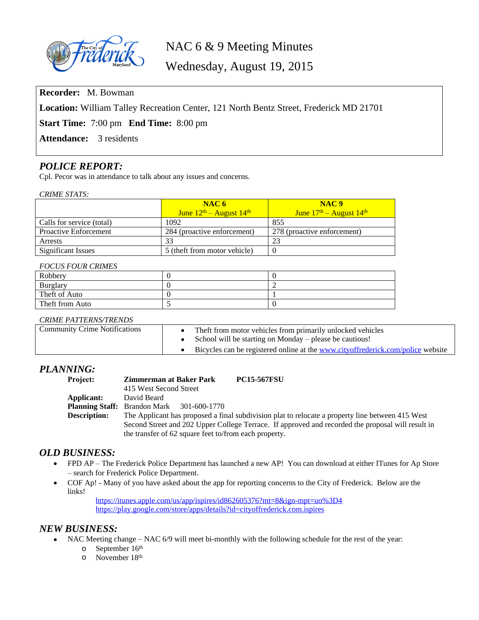

# NAC 6 & 9 Meeting Minutes

Wednesday, August 19, 2015

**Recorder:** M. Bowman

**Location:** William Talley Recreation Center, 121 North Bentz Street, Frederick MD 21701

**Start Time:** 7:00 pm **End Time:** 8:00 pm

Attendance: 3 residents

## *POLICE REPORT:*

Cpl. Pecor was in attendance to talk about any issues and concerns.

*CRIME STATS:*

|                              | NAC <sub>6</sub><br>June $12th$ – August $14th$ | NAC <sub>9</sub><br>June $17th$ – August $14th$ |
|------------------------------|-------------------------------------------------|-------------------------------------------------|
| Calls for service (total)    | 1092                                            | 855                                             |
| <b>Proactive Enforcement</b> | 284 (proactive enforcement)                     | 278 (proactive enforcement)                     |
| Arrests                      | 33                                              | 23                                              |
| <b>Significant Issues</b>    | 5 (theft from motor vehicle)                    |                                                 |

#### *FOCUS FOUR CRIMES*

| Robbery         |  |
|-----------------|--|
| Burglary        |  |
| Theft of Auto   |  |
| Theft from Auto |  |

#### *CRIME PATTERNS/TRENDS*

| <b>Community Crime Notifications</b> | The ft from motor vehicles from primarily unlocked vehicles<br>School will be starting on Monday – please be cautious! |
|--------------------------------------|------------------------------------------------------------------------------------------------------------------------|
|                                      | Bicycles can be registered online at the www.cityoffrederick.com/police website                                        |

# *PLANNING:*

| <b>Project:</b>     | <b>Zimmerman at Baker Park</b>                                                                    | <b>PC15-567FSU</b>                                                                               |  |
|---------------------|---------------------------------------------------------------------------------------------------|--------------------------------------------------------------------------------------------------|--|
|                     | 415 West Second Street                                                                            |                                                                                                  |  |
| Applicant:          | David Beard                                                                                       |                                                                                                  |  |
|                     | <b>Planning Staff:</b> Brandon Mark 301-600-1770                                                  |                                                                                                  |  |
| <b>Description:</b> |                                                                                                   | The Applicant has proposed a final subdivision plat to relocate a property line between 415 West |  |
|                     | Second Street and 202 Upper College Terrace. If approved and recorded the proposal will result in |                                                                                                  |  |
|                     | the transfer of 62 square feet to/from each property.                                             |                                                                                                  |  |

## *OLD BUSINESS:*

- FPD AP The Frederick Police Department has launched a new AP! You can download at either ITunes for Ap Store – search for Frederick Police Department.
- COF Ap! Many of you have asked about the app for reporting concerns to the City of Frederick. Below are the links!

<https://itunes.apple.com/us/app/ispires/id862605376?mt=8&ign-mpt=uo%3D4> <https://play.google.com/store/apps/details?id=cityoffrederick.com.ispires>

## *NEW BUSINESS:*

- NAC Meeting change NAC 6/9 will meet bi-monthly with the following schedule for the rest of the year:
	- o September 16<sup>th</sup>
	- o November 18th